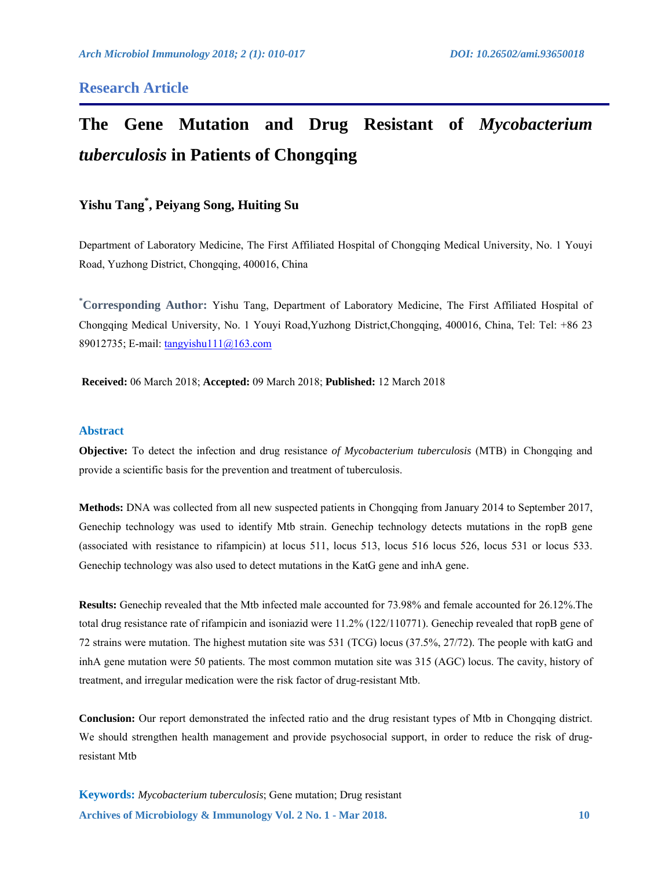# **Research Article**

# **The Gene Mutation and Drug Resistant of** *Mycobacterium tuberculosis* **in Patients of Chongqing**

# **Yishu Tang\* , Peiyang Song, Huiting Su**

Department of Laboratory Medicine, The First Affiliated Hospital of Chongqing Medical University, No. 1 Youyi Road, Yuzhong District, Chongqing, 400016, China

**\* Corresponding Author:** Yishu Tang, Department of Laboratory Medicine, The First Affiliated Hospital of Chongqing Medical University, No. 1 Youyi Road,Yuzhong District,Chongqing, 400016, China, Tel: Tel: +86 23 89012735; E-mail: tangyishu111@163.com

**Received:** 06 March 2018; **Accepted:** 09 March 2018; **Published:** 12 March 2018

#### **Abstract**

**Objective:** To detect the infection and drug resistance *of Mycobacterium tuberculosis* (MTB) in Chongqing and provide a scientific basis for the prevention and treatment of tuberculosis.

**Methods:** DNA was collected from all new suspected patients in Chongqing from January 2014 to September 2017, Genechip technology was used to identify Mtb strain. Genechip technology detects mutations in the ropB gene (associated with resistance to rifampicin) at locus 511, locus 513, locus 516 locus 526, locus 531 or locus 533. Genechip technology was also used to detect mutations in the KatG gene and inhA gene.

**Results:** Genechip revealed that the Mtb infected male accounted for 73.98% and female accounted for 26.12%.The total drug resistance rate of rifampicin and isoniazid were 11.2% (122/110771). Genechip revealed that ropB gene of 72 strains were mutation. The highest mutation site was 531 (TCG) locus (37.5%, 27/72). The people with katG and inhA gene mutation were 50 patients. The most common mutation site was 315 (AGC) locus. The cavity, history of treatment, and irregular medication were the risk factor of drug-resistant Mtb.

**Conclusion:** Our report demonstrated the infected ratio and the drug resistant types of Mtb in Chongqing district. We should strengthen health management and provide psychosocial support, in order to reduce the risk of drugresistant Mtb

**Archives of Microbiology & Immunology Vol. 2 No. 1 - Mar 2018. 10 Keywords:** *Mycobacterium tuberculosis*; Gene mutation; Drug resistant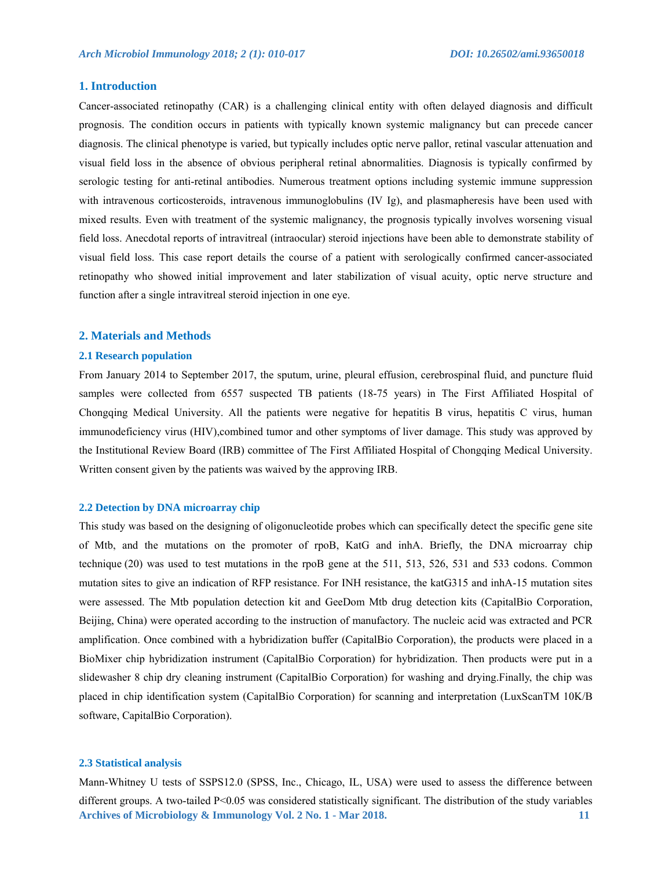## **1. Introduction**

Cancer-associated retinopathy (CAR) is a challenging clinical entity with often delayed diagnosis and difficult prognosis. The condition occurs in patients with typically known systemic malignancy but can precede cancer diagnosis. The clinical phenotype is varied, but typically includes optic nerve pallor, retinal vascular attenuation and visual field loss in the absence of obvious peripheral retinal abnormalities. Diagnosis is typically confirmed by serologic testing for anti-retinal antibodies. Numerous treatment options including systemic immune suppression with intravenous corticosteroids, intravenous immunoglobulins (IV Ig), and plasmapheresis have been used with mixed results. Even with treatment of the systemic malignancy, the prognosis typically involves worsening visual field loss. Anecdotal reports of intravitreal (intraocular) steroid injections have been able to demonstrate stability of visual field loss. This case report details the course of a patient with serologically confirmed cancer-associated retinopathy who showed initial improvement and later stabilization of visual acuity, optic nerve structure and function after a single intravitreal steroid injection in one eye.

#### **2. Materials and Methods**

#### **2.1 Research population**

From January 2014 to September 2017, the sputum, urine, pleural effusion, cerebrospinal fluid, and puncture fluid samples were collected from 6557 suspected TB patients (18-75 years) in The First Affiliated Hospital of Chongqing Medical University. All the patients were negative for hepatitis B virus, hepatitis C virus, human immunodeficiency virus (HIV),combined tumor and other symptoms of liver damage. This study was approved by the Institutional Review Board (IRB) committee of The First Affiliated Hospital of Chongqing Medical University. Written consent given by the patients was waived by the approving IRB.

#### **2.2 Detection by DNA microarray chip**

This study was based on the designing of oligonucleotide probes which can specifically detect the specific gene site of Mtb, and the mutations on the promoter of rpoB, KatG and inhA. Briefly, the DNA microarray chip technique (20) was used to test mutations in the rpoB gene at the 511, 513, 526, 531 and 533 codons. Common mutation sites to give an indication of RFP resistance. For INH resistance, the katG315 and inhA-15 mutation sites were assessed. The Mtb population detection kit and GeeDom Mtb drug detection kits (CapitalBio Corporation, Beijing, China) were operated according to the instruction of manufactory. The nucleic acid was extracted and PCR amplification. Once combined with a hybridization buffer (CapitalBio Corporation), the products were placed in a BioMixer chip hybridization instrument (CapitalBio Corporation) for hybridization. Then products were put in a slidewasher 8 chip dry cleaning instrument (CapitalBio Corporation) for washing and drying.Finally, the chip was placed in chip identification system (CapitalBio Corporation) for scanning and interpretation (LuxScanTM 10K/B software, CapitalBio Corporation).

#### **2.3 Statistical analysis**

**Archives of Microbiology & Immunology Vol. 2 No. 1 - Mar 2018.** 11 Mann-Whitney U tests of SSPS12.0 (SPSS, Inc., Chicago, IL, USA) were used to assess the difference between different groups. A two-tailed P<0.05 was considered statistically significant. The distribution of the study variables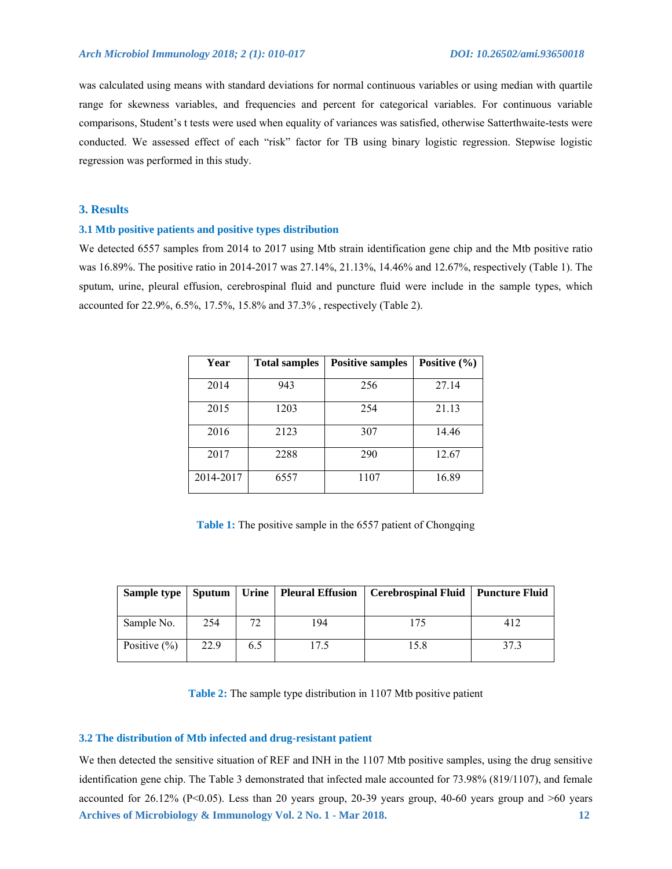was calculated using means with standard deviations for normal continuous variables or using median with quartile range for skewness variables, and frequencies and percent for categorical variables. For continuous variable comparisons, Student's t tests were used when equality of variances was satisfied, otherwise Satterthwaite-tests were conducted. We assessed effect of each "risk" factor for TB using binary logistic regression. Stepwise logistic regression was performed in this study.

# **3. Results**

#### **3.1 Mtb positive patients and positive types distribution**

We detected 6557 samples from 2014 to 2017 using Mtb strain identification gene chip and the Mtb positive ratio was 16.89%. The positive ratio in 2014-2017 was 27.14%, 21.13%, 14.46% and 12.67%, respectively (Table 1). The sputum, urine, pleural effusion, cerebrospinal fluid and puncture fluid were include in the sample types, which accounted for 22.9%, 6.5%, 17.5%, 15.8% and 37.3% , respectively (Table 2).

| Year      | <b>Total samples</b> | <b>Positive samples</b> | Positive $(\% )$ |
|-----------|----------------------|-------------------------|------------------|
| 2014      | 943                  | 256                     | 27.14            |
| 2015      | 1203                 | 254                     | 21.13            |
| 2016      | 2123                 | 307                     | 14.46            |
| 2017      | 2288                 | 290                     | 12.67            |
| 2014-2017 | 6557                 | 1107                    | 16.89            |

Table 1: The positive sample in the 6557 patient of Chongqing

|                  |      |     | Sample type   Sputum   Urine   Pleural Effusion | Cerebrospinal Fluid   Puncture Fluid |      |
|------------------|------|-----|-------------------------------------------------|--------------------------------------|------|
| Sample No.       | 254  | 72  | 194                                             | 175                                  | 412  |
| Positive $(\% )$ | 22.9 | 6.5 | 17.5                                            | 15.8                                 | 37.3 |

**Table 2:** The sample type distribution in 1107 Mtb positive patient

#### **3.2 The distribution of Mtb infected and drug-resistant patient**

**Archives of Microbiology & Immunology Vol. 2 No. 1 - Mar 2018. 12**  We then detected the sensitive situation of REF and INH in the 1107 Mtb positive samples, using the drug sensitive identification gene chip. The Table 3 demonstrated that infected male accounted for 73.98% (819/1107), and female accounted for  $26.12\%$  (P<0.05). Less than 20 years group, 20-39 years group, 40-60 years group and  $>60$  years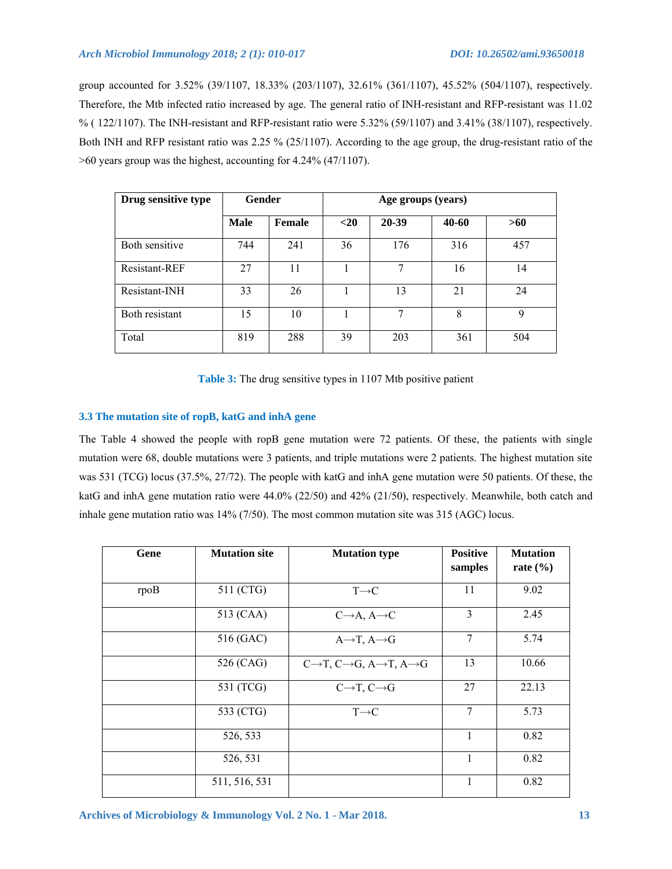group accounted for 3.52% (39/1107, 18.33% (203/1107), 32.61% (361/1107), 45.52% (504/1107), respectively. Therefore, the Mtb infected ratio increased by age. The general ratio of INH-resistant and RFP-resistant was 11.02 % ( $122/1107$ ). The INH-resistant and RFP-resistant ratio were 5.32% (59/1107) and 3.41% (38/1107), respectively. Both INH and RFP resistant ratio was 2.25 % (25/1107). According to the age group, the drug-resistant ratio of the >60 years group was the highest, accounting for 4.24% (47/1107).

| Drug sensitive type | <b>Gender</b> |               | Age groups (years) |       |       |     |
|---------------------|---------------|---------------|--------------------|-------|-------|-----|
|                     | <b>Male</b>   | <b>Female</b> | $20$               | 20-39 | 40-60 | >60 |
| Both sensitive      | 744           | 241           | 36                 | 176   | 316   | 457 |
| Resistant-REF       | 27            | 11            |                    | 7     | 16    | 14  |
| Resistant-INH       | 33            | 26            |                    | 13    | 21    | 24  |
| Both resistant      | 15            | 10            |                    | 7     | 8     | 9   |
| Total               | 819           | 288           | 39                 | 203   | 361   | 504 |

**Table 3:** The drug sensitive types in 1107 Mtb positive patient

# **3.3 The mutation site of ropB, katG and inhA gene**

The Table 4 showed the people with ropB gene mutation were 72 patients. Of these, the patients with single mutation were 68, double mutations were 3 patients, and triple mutations were 2 patients. The highest mutation site was 531 (TCG) locus (37.5%, 27/72). The people with katG and inhA gene mutation were 50 patients. Of these, the katG and inhA gene mutation ratio were 44.0% (22/50) and 42% (21/50), respectively. Meanwhile, both catch and inhale gene mutation ratio was 14% (7/50). The most common mutation site was 315 (AGC) locus.

| Gene | <b>Mutation site</b> | <b>Mutation type</b>                                                      | <b>Positive</b><br>samples | <b>Mutation</b><br>rate $(\% )$ |
|------|----------------------|---------------------------------------------------------------------------|----------------------------|---------------------------------|
| rpoB | 511 (CTG)            | $T\rightarrow C$                                                          | 11                         | 9.02                            |
|      | 513 (CAA)            | $C\rightarrow A, A\rightarrow C$                                          | 3                          | 2.45                            |
|      | 516 (GAC)            | $A \rightarrow T$ , $A \rightarrow G$                                     | 7                          | 5.74                            |
|      | 526 (CAG)            | $C\rightarrow T$ , $C\rightarrow G$ , $A\rightarrow T$ , $A\rightarrow G$ | 13                         | 10.66                           |
|      | 531 (TCG)            | $C\rightarrow T, C\rightarrow G$                                          | 27                         | 22.13                           |
|      | 533 (CTG)            | $T\rightarrow C$                                                          | 7                          | 5.73                            |
|      | 526, 533             |                                                                           | $\mathbf{1}$               | 0.82                            |
|      | 526, 531             |                                                                           | $\mathbf{1}$               | 0.82                            |
|      | 511, 516, 531        |                                                                           | 1                          | 0.82                            |

**Archives of Microbiology & Immunology Vol. 2 No. 1 - Mar 2018. 13**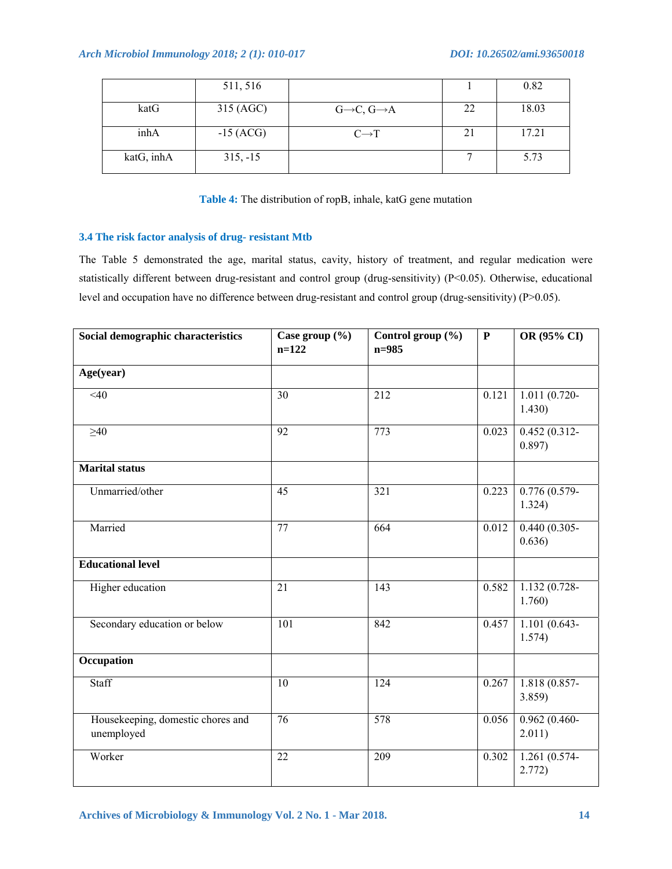|            | 511, 516    |                                     |    | 0.82  |
|------------|-------------|-------------------------------------|----|-------|
| katG       | 315 (AGC)   | $G\rightarrow C$ , $G\rightarrow A$ | 22 | 18.03 |
| inhA       | $-15$ (ACG) | $C\rightarrow T$                    | 21 | 17.21 |
| katG, inhA | $315, -15$  |                                     |    | 5.73  |

**Table 4:** The distribution of ropB, inhale, katG gene mutation

# **3.4 The risk factor analysis of drug- resistant Mtb**

The Table 5 demonstrated the age, marital status, cavity, history of treatment, and regular medication were statistically different between drug-resistant and control group (drug-sensitivity) (P<0.05). Otherwise, educational level and occupation have no difference between drug-resistant and control group (drug-sensitivity) (P>0.05).

| Social demographic characteristics              | Case group $(\% )$<br>$n=122$ | Control group (%)<br>$n = 985$ | ${\bf P}$ | OR (95% CI)               |
|-------------------------------------------------|-------------------------------|--------------------------------|-----------|---------------------------|
| Age(year)                                       |                               |                                |           |                           |
| $\overline{40}$                                 | $\overline{30}$               | $\overline{212}$               | 0.121     | $1.011(0.720-$<br>1.430)  |
| $\geq 40$                                       | 92                            | 773                            | 0.023     | $0.452(0.312-$<br>0.897)  |
| <b>Marital status</b>                           |                               |                                |           |                           |
| Unmarried/other                                 | 45                            | 321                            | 0.223     | $0.776(0.579-$<br>1.324)  |
| Married                                         | 77                            | 664                            | 0.012     | $0.440(0.305 -$<br>0.636) |
| <b>Educational level</b>                        |                               |                                |           |                           |
| Higher education                                | 21                            | 143                            | 0.582     | $1.132(0.728 -$<br>1.760) |
| Secondary education or below                    | 101                           | 842                            | 0.457     | $1.101(0.643-$<br>1.574)  |
| Occupation                                      |                               |                                |           |                           |
| Staff                                           | 10                            | 124                            | 0.267     | 1.818 (0.857-<br>3.859    |
| Housekeeping, domestic chores and<br>unemployed | 76                            | 578                            | 0.056     | $0.962(0.460-$<br>2.011)  |
| Worker                                          | 22                            | 209                            | 0.302     | 1.261 (0.574-<br>2.772)   |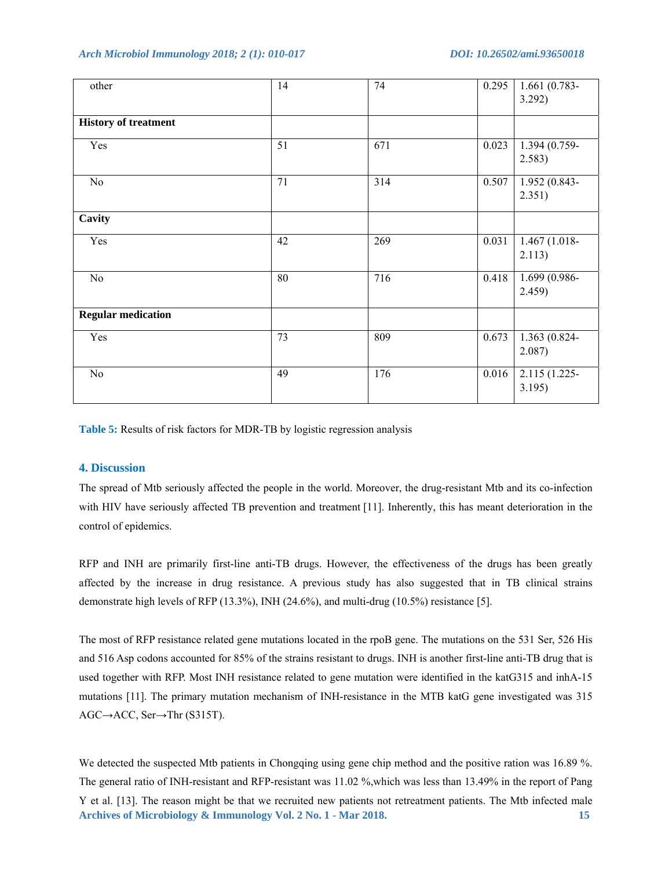*Arch Microbiol Immunology 2018; 2 (1): 010-017 DOI: 10.26502/ami.93650018* 

| other                       | 14 | 74  | 0.295 | $1.661(0.783 -$<br>3.292) |
|-----------------------------|----|-----|-------|---------------------------|
| <b>History of treatment</b> |    |     |       |                           |
| Yes                         | 51 | 671 | 0.023 | 1.394 (0.759-<br>2.583)   |
| No                          | 71 | 314 | 0.507 | 1.952 (0.843-<br>2.351)   |
| Cavity                      |    |     |       |                           |
| Yes                         | 42 | 269 | 0.031 | 1.467 (1.018-<br>2.113)   |
| No                          | 80 | 716 | 0.418 | 1.699 (0.986-<br>2.459    |
| <b>Regular medication</b>   |    |     |       |                           |
| Yes                         | 73 | 809 | 0.673 | 1.363 (0.824-<br>2.087)   |
| No                          | 49 | 176 | 0.016 | 2.115 (1.225-<br>3.195)   |

**Table 5:** Results of risk factors for MDR-TB by logistic regression analysis

# **4. Discussion**

The spread of Mtb seriously affected the people in the world. Moreover, the drug-resistant Mtb and its co-infection with HIV have seriously affected TB prevention and treatment [11]. Inherently, this has meant deterioration in the control of epidemics.

RFP and INH are primarily first-line anti-TB drugs. However, the effectiveness of the drugs has been greatly affected by the increase in drug resistance. A previous study has also suggested that in TB clinical strains demonstrate high levels of RFP (13.3%), INH (24.6%), and multi-drug (10.5%) resistance [5].

The most of RFP resistance related gene mutations located in the rpoB gene. The mutations on the 531 Ser, 526 His and 516 Asp codons accounted for 85% of the strains resistant to drugs. INH is another first-line anti-TB drug that is used together with RFP. Most INH resistance related to gene mutation were identified in the katG315 and inhA-15 mutations [11]. The primary mutation mechanism of INH-resistance in the MTB katG gene investigated was 315 AGC→ACC, Ser→Thr (S315T).

**Archives of Microbiology & Immunology Vol. 2 No. 1 - Mar 2018. 15**  We detected the suspected Mtb patients in Chongqing using gene chip method and the positive ration was 16.89 %. The general ratio of INH-resistant and RFP-resistant was 11.02 %,which was less than 13.49% in the report of Pang Y et al. [13]. The reason might be that we recruited new patients not retreatment patients. The Mtb infected male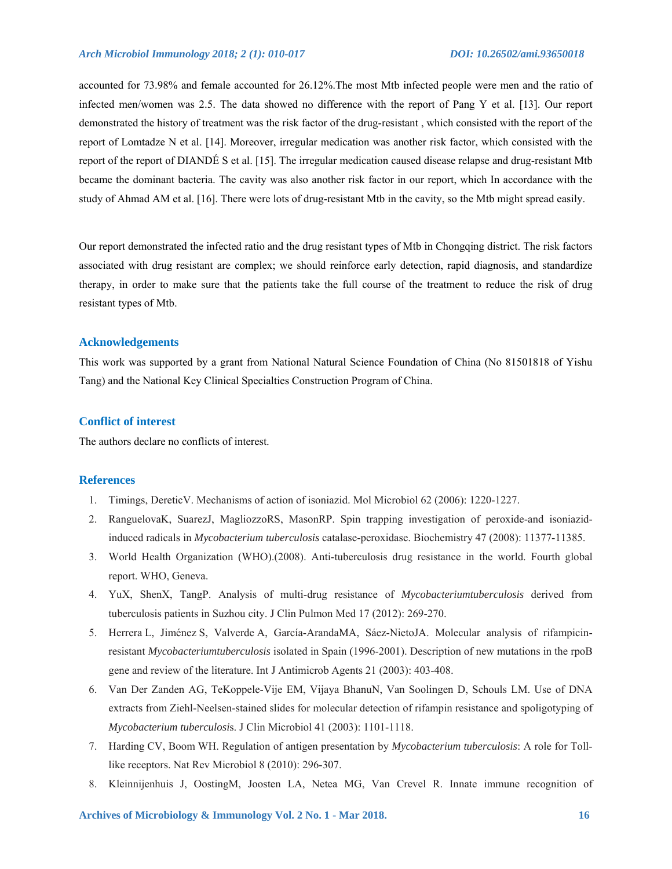## *Arch Microbiol Immunology 2018; 2 (1): 010-017 DOI: 10.26502/ami.93650018*

accounted for 73.98% and female accounted for 26.12%.The most Mtb infected people were men and the ratio of infected men/women was 2.5. The data showed no difference with the report of Pang Y et al. [13]. Our report demonstrated the history of treatment was the risk factor of the drug-resistant , which consisted with the report of the report of Lomtadze N et al. [14]. Moreover, irregular medication was another risk factor, which consisted with the report of the report of DIANDÉ S et al. [15]. The irregular medication caused disease relapse and drug-resistant Mtb became the dominant bacteria. The cavity was also another risk factor in our report, which In accordance with the study of Ahmad AM et al. [16]. There were lots of drug-resistant Mtb in the cavity, so the Mtb might spread easily.

Our report demonstrated the infected ratio and the drug resistant types of Mtb in Chongqing district. The risk factors associated with drug resistant are complex; we should reinforce early detection, rapid diagnosis, and standardize therapy, in order to make sure that the patients take the full course of the treatment to reduce the risk of drug resistant types of Mtb.

#### **Acknowledgements**

This work was supported by a grant from National Natural Science Foundation of China (No 81501818 of Yishu Tang) and the National Key Clinical Specialties Construction Program of China.

## **Conflict of interest**

The authors declare no conflicts of interest.

# **References**

- 1. Timings, DereticV. Mechanisms of action of isoniazid. Mol Microbiol 62 (2006): 1220-1227.
- 2. RanguelovaK, SuarezJ, MagliozzoRS, MasonRP. Spin trapping investigation of peroxide-and isoniazidinduced radicals in *Mycobacterium tuberculosis* catalase-peroxidase. Biochemistry 47 (2008): 11377-11385.
- 3. World Health Organization (WHO).(2008). Anti-tuberculosis drug resistance in the world. Fourth global report. WHO, Geneva.
- 4. YuX, ShenX, TangP. Analysis of multi-drug resistance of *Mycobacteriumtuberculosis* derived from tuberculosis patients in Suzhou city. J Clin Pulmon Med 17 (2012): 269-270.
- 5. Herrera L, Jiménez S, Valverde A, García-ArandaMA, Sáez-NietoJA. Molecular analysis of rifampicinresistant *Mycobacteriumtuberculosis* isolated in Spain (1996-2001). Description of new mutations in the rpoB gene and review of the literature. Int J Antimicrob Agents 21 (2003): 403-408.
- 6. Van Der Zanden AG, TeKoppele-Vije EM, Vijaya BhanuN, Van Soolingen D, Schouls LM. Use of DNA extracts from Ziehl-Neelsen-stained slides for molecular detection of rifampin resistance and spoligotyping of *Mycobacterium tuberculosi*s. J Clin Microbiol 41 (2003): 1101-1118.
- 7. Harding CV, Boom WH. Regulation of antigen presentation by *Mycobacterium tuberculosis*: A role for Tolllike receptors. Nat Rev Microbiol 8 (2010): 296-307.
- 8. Kleinnijenhuis J, OostingM, Joosten LA, Netea MG, Van Crevel R. Innate immune recognition of